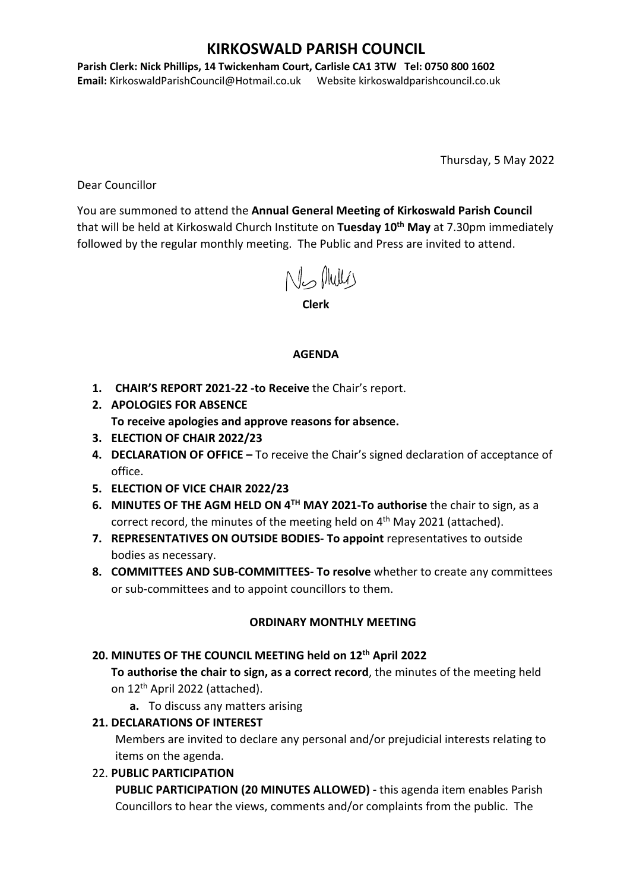# **KIRKOSWALD PARISH COUNCIL**

**Parish Clerk: Nick Phillips, 14 Twickenham Court, Carlisle CA1 3TW Tel: 0750 800 1602 Email:** KirkoswaldParishCouncil@Hotmail.co.uk Website kirkoswaldparishcouncil.co.uk

Thursday, 5 May 2022

Dear Councillor

You are summoned to attend the **Annual General Meeting of Kirkoswald Parish Council** that will be held at Kirkoswald Church Institute on **Tuesday 10th May** at 7.30pm immediately followed by the regular monthly meeting. The Public and Press are invited to attend.

Ns Mullis

**Clerk**

### **AGENDA**

- **1. CHAIR'S REPORT 2021-22 -to Receive** the Chair's report.
- **2. APOLOGIES FOR ABSENCE To receive apologies and approve reasons for absence.**
- **3. ELECTION OF CHAIR 2022/23**
- **4. DECLARATION OF OFFICE –** To receive the Chair's signed declaration of acceptance of office.
- **5. ELECTION OF VICE CHAIR 2022/23**
- **6. MINUTES OF THE AGM HELD ON 4TH MAY 2021-To authorise** the chair to sign, as a correct record, the minutes of the meeting held on 4<sup>th</sup> May 2021 (attached).
- **7. REPRESENTATIVES ON OUTSIDE BODIES- To appoint** representatives to outside bodies as necessary.
- **8. COMMITTEES AND SUB-COMMITTEES- To resolve** whether to create any committees or sub-committees and to appoint councillors to them.

### **ORDINARY MONTHLY MEETING**

## **20. MINUTES OF THE COUNCIL MEETING held on 12th April 2022**

**To authorise the chair to sign, as a correct record**, the minutes of the meeting held on 12th April 2022 (attached).

**a.** To discuss any matters arising

## **21. DECLARATIONS OF INTEREST**

Members are invited to declare any personal and/or prejudicial interests relating to items on the agenda.

22. **PUBLIC PARTICIPATION** 

**PUBLIC PARTICIPATION (20 MINUTES ALLOWED) -** this agenda item enables Parish Councillors to hear the views, comments and/or complaints from the public. The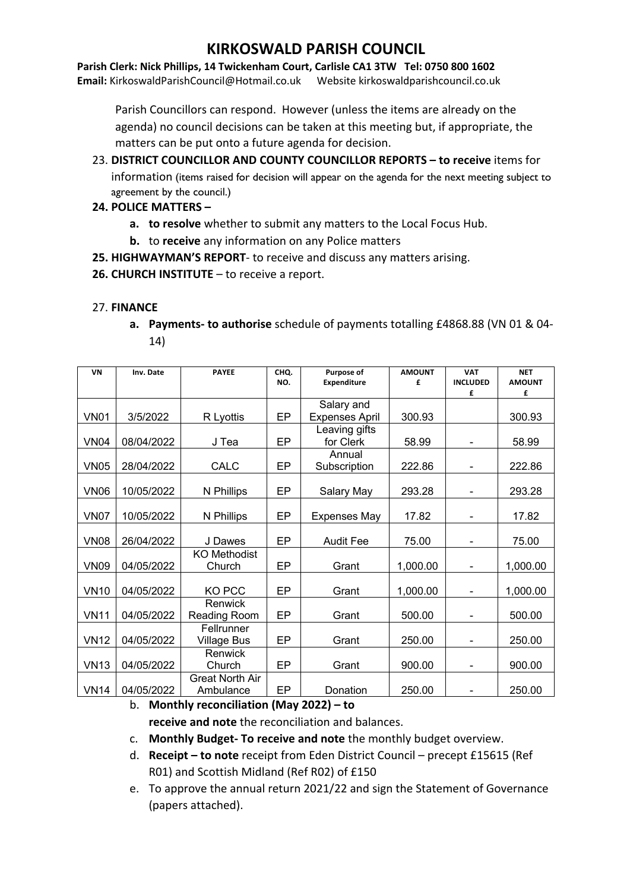# **KIRKOSWALD PARISH COUNCIL**

**Parish Clerk: Nick Phillips, 14 Twickenham Court, Carlisle CA1 3TW Tel: 0750 800 1602 Email:** KirkoswaldParishCouncil@Hotmail.co.uk Website kirkoswaldparishcouncil.co.uk

Parish Councillors can respond. However (unless the items are already on the agenda) no council decisions can be taken at this meeting but, if appropriate, the matters can be put onto a future agenda for decision.

23. **DISTRICT COUNCILLOR AND COUNTY COUNCILLOR REPORTS – to receive** items for information (items raised for decision will appear on the agenda for the next meeting subject to agreement by the council.)

#### **24. POLICE MATTERS –**

- **a. to resolve** whether to submit any matters to the Local Focus Hub.
- **b.** to **receive** any information on any Police matters
- **25. HIGHWAYMAN'S REPORT** to receive and discuss any matters arising.
- **26. CHURCH INSTITUTE** to receive a report.

#### 27. **FINANCE**

**a. Payments- to authorise** schedule of payments totalling £4868.88 (VN 01 & 04- 14)

| VN          | Inv. Date  | <b>PAYEE</b>                        | CHO.<br>NO. | Purpose of<br><b>Expenditure</b> | <b>AMOUNT</b><br>£ | <b>VAT</b><br><b>INCLUDED</b> | <b>NET</b><br><b>AMOUNT</b> |
|-------------|------------|-------------------------------------|-------------|----------------------------------|--------------------|-------------------------------|-----------------------------|
|             |            |                                     |             |                                  |                    | £                             | £                           |
|             |            |                                     |             | Salary and                       |                    |                               |                             |
| <b>VN01</b> | 3/5/2022   | R Lyottis                           | <b>EP</b>   | <b>Expenses April</b>            | 300.93             |                               | 300.93                      |
| <b>VN04</b> | 08/04/2022 | J Tea                               | EP          | Leaving gifts<br>for Clerk       | 58.99              |                               | 58.99                       |
| <b>VN05</b> | 28/04/2022 | CALC                                | EP          | Annual<br>Subscription           | 222.86             |                               | 222.86                      |
| <b>VN06</b> | 10/05/2022 | N Phillips                          | EP          | Salary May                       | 293.28             |                               | 293.28                      |
| <b>VN07</b> | 10/05/2022 | N Phillips                          | EP          | <b>Expenses May</b>              | 17.82              |                               | 17.82                       |
| <b>VN08</b> | 26/04/2022 | J Dawes                             | EP          | <b>Audit Fee</b>                 | 75.00              | $\qquad \qquad \blacksquare$  | 75.00                       |
| <b>VN09</b> | 04/05/2022 | <b>KO Methodist</b><br>Church       | <b>EP</b>   | Grant                            | 1,000.00           |                               | 1,000.00                    |
| <b>VN10</b> | 04/05/2022 | KO PCC                              | EP          | Grant                            | 1,000.00           |                               | 1,000.00                    |
| <b>VN11</b> | 04/05/2022 | Renwick<br>Reading Room             | EP          | Grant                            | 500.00             |                               | 500.00                      |
| <b>VN12</b> | 04/05/2022 | Fellrunner<br><b>Village Bus</b>    | EP          | Grant                            | 250.00             |                               | 250.00                      |
| <b>VN13</b> | 04/05/2022 | Renwick<br>Church                   | EP          | Grant                            | 900.00             | $\overline{\phantom{a}}$      | 900.00                      |
| <b>VN14</b> | 04/05/2022 | <b>Great North Air</b><br>Ambulance | EP          | Donation                         | 250.00             |                               | 250.00                      |

b. **Monthly reconciliation (May 2022) – to receive and note** the reconciliation and balances.

- c. **Monthly Budget- To receive and note** the monthly budget overview.
- d. **Receipt – to note** receipt from Eden District Council precept £15615 (Ref R01) and Scottish Midland (Ref R02) of £150
- e. To approve the annual return 2021/22 and sign the Statement of Governance (papers attached).